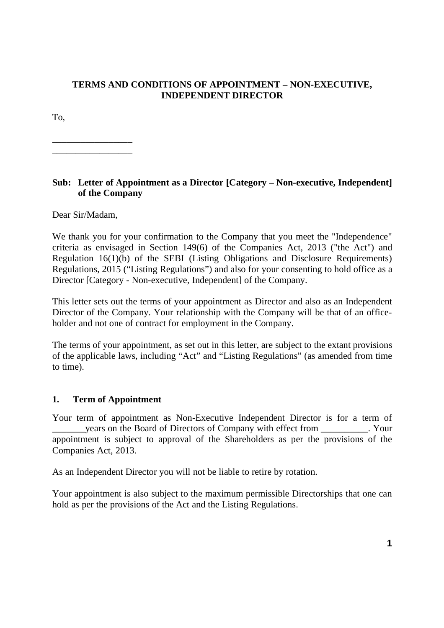## **TERMS AND CONDITIONS OF APPOINTMENT – NON-EXECUTIVE, INDEPENDENT DIRECTOR**

To,

\_\_\_\_\_\_\_\_\_\_\_\_\_\_\_\_\_ \_\_\_\_\_\_\_\_\_\_\_\_\_\_\_\_\_

## **Sub: Letter of Appointment as a Director [Category – Non-executive, Independent] of the Company**

Dear Sir/Madam,

We thank you for your confirmation to the Company that you meet the "Independence" criteria as envisaged in Section 149(6) of the Companies Act, 2013 ("the Act") and Regulation 16(1)(b) of the SEBI (Listing Obligations and Disclosure Requirements) Regulations, 2015 ("Listing Regulations") and also for your consenting to hold office as a Director [Category - Non-executive, Independent] of the Company.

This letter sets out the terms of your appointment as Director and also as an Independent Director of the Company. Your relationship with the Company will be that of an officeholder and not one of contract for employment in the Company.

The terms of your appointment, as set out in this letter, are subject to the extant provisions of the applicable laws, including "Act" and "Listing Regulations" (as amended from time to time).

#### **1. Term of Appointment**

Your term of appointment as Non-Executive Independent Director is for a term of \_\_\_\_\_\_\_years on the Board of Directors of Company with effect from \_\_\_\_\_\_\_\_\_\_. Your appointment is subject to approval of the Shareholders as per the provisions of the Companies Act, 2013.

As an Independent Director you will not be liable to retire by rotation.

Your appointment is also subject to the maximum permissible Directorships that one can hold as per the provisions of the Act and the Listing Regulations.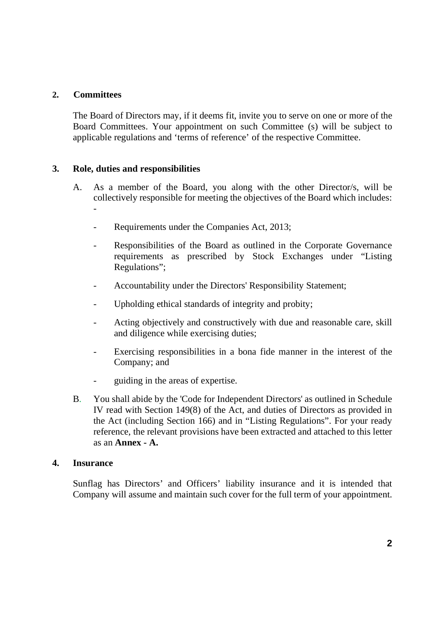## **2. Committees**

-

The Board of Directors may, if it deems fit, invite you to serve on one or more of the Board Committees. Your appointment on such Committee (s) will be subject to applicable regulations and 'terms of reference' of the respective Committee.

## **3. Role, duties and responsibilities**

- A. As a member of the Board, you along with the other Director/s, will be collectively responsible for meeting the objectives of the Board which includes:
	- Requirements under the Companies Act, 2013;
	- Responsibilities of the Board as outlined in the Corporate Governance requirements as prescribed by Stock Exchanges under "Listing Regulations";
	- Accountability under the Directors' Responsibility Statement;
	- Upholding ethical standards of integrity and probity;
	- Acting objectively and constructively with due and reasonable care, skill and diligence while exercising duties;
	- Exercising responsibilities in a bona fide manner in the interest of the Company; and
	- guiding in the areas of expertise.
- B. You shall abide by the 'Code for Independent Directors' as outlined in Schedule IV read with Section 149(8) of the Act, and duties of Directors as provided in the Act (including Section 166) and in "Listing Regulations". For your ready reference, the relevant provisions have been extracted and attached to this letter as an **Annex - A.**

#### **4. Insurance**

Sunflag has Directors' and Officers' liability insurance and it is intended that Company will assume and maintain such cover for the full term of your appointment.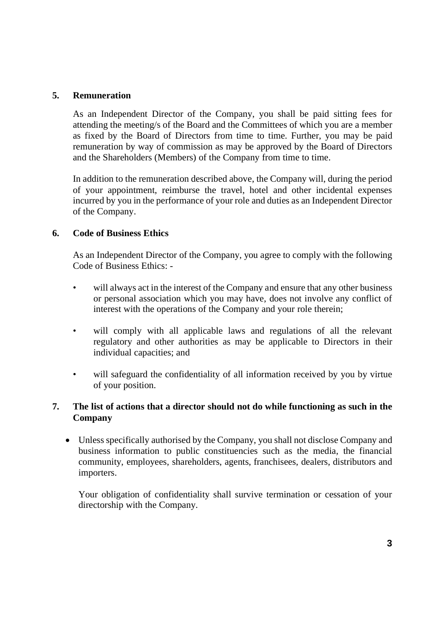### **5. Remuneration**

As an Independent Director of the Company, you shall be paid sitting fees for attending the meeting/s of the Board and the Committees of which you are a member as fixed by the Board of Directors from time to time. Further, you may be paid remuneration by way of commission as may be approved by the Board of Directors and the Shareholders (Members) of the Company from time to time.

In addition to the remuneration described above, the Company will, during the period of your appointment, reimburse the travel, hotel and other incidental expenses incurred by you in the performance of your role and duties as an Independent Director of the Company.

#### **6. Code of Business Ethics**

As an Independent Director of the Company, you agree to comply with the following Code of Business Ethics: -

- will always act in the interest of the Company and ensure that any other business or personal association which you may have, does not involve any conflict of interest with the operations of the Company and your role therein;
- will comply with all applicable laws and regulations of all the relevant regulatory and other authorities as may be applicable to Directors in their individual capacities; and
- will safeguard the confidentiality of all information received by you by virtue of your position.

# **7. The list of actions that a director should not do while functioning as such in the Company**

 Unless specifically authorised by the Company, you shall not disclose Company and business information to public constituencies such as the media, the financial community, employees, shareholders, agents, franchisees, dealers, distributors and importers.

Your obligation of confidentiality shall survive termination or cessation of your directorship with the Company.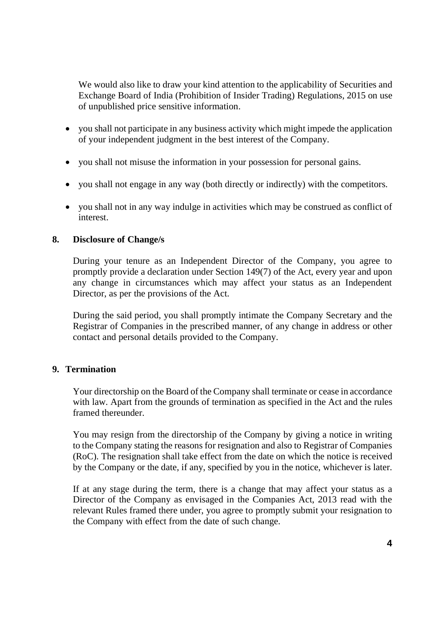We would also like to draw your kind attention to the applicability of Securities and Exchange Board of India (Prohibition of Insider Trading) Regulations, 2015 on use of unpublished price sensitive information.

- you shall not participate in any business activity which might impede the application of your independent judgment in the best interest of the Company.
- you shall not misuse the information in your possession for personal gains.
- you shall not engage in any way (both directly or indirectly) with the competitors.
- you shall not in any way indulge in activities which may be construed as conflict of interest.

# **8. Disclosure of Change/s**

During your tenure as an Independent Director of the Company, you agree to promptly provide a declaration under Section 149(7) of the Act, every year and upon any change in circumstances which may affect your status as an Independent Director, as per the provisions of the Act.

During the said period, you shall promptly intimate the Company Secretary and the Registrar of Companies in the prescribed manner, of any change in address or other contact and personal details provided to the Company.

# **9. Termination**

Your directorship on the Board of the Company shall terminate or cease in accordance with law. Apart from the grounds of termination as specified in the Act and the rules framed thereunder.

You may resign from the directorship of the Company by giving a notice in writing to the Company stating the reasons for resignation and also to Registrar of Companies (RoC). The resignation shall take effect from the date on which the notice is received by the Company or the date, if any, specified by you in the notice, whichever is later.

 If at any stage during the term, there is a change that may affect your status as a Director of the Company as envisaged in the Companies Act, 2013 read with the relevant Rules framed there under, you agree to promptly submit your resignation to the Company with effect from the date of such change.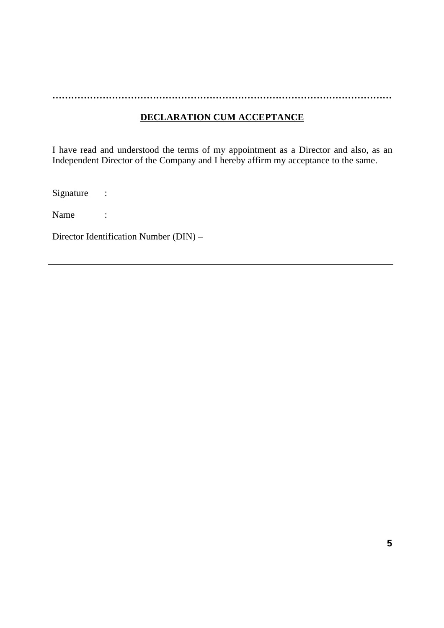**………………………………………………………………………………………………**

# **DECLARATION CUM ACCEPTANCE**

I have read and understood the terms of my appointment as a Director and also, as an Independent Director of the Company and I hereby affirm my acceptance to the same.

Signature :

Name :

Director Identification Number (DIN) –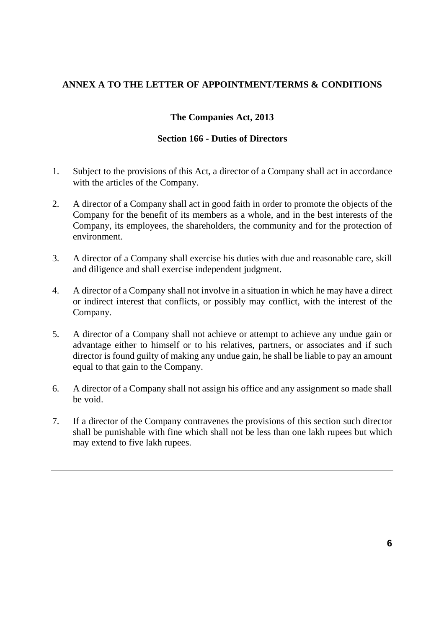## **ANNEX A TO THE LETTER OF APPOINTMENT/TERMS & CONDITIONS**

## **The Companies Act, 2013**

#### **Section 166 - Duties of Directors**

- 1. Subject to the provisions of this Act, a director of a Company shall act in accordance with the articles of the Company.
- 2. A director of a Company shall act in good faith in order to promote the objects of the Company for the benefit of its members as a whole, and in the best interests of the Company, its employees, the shareholders, the community and for the protection of environment.
- 3. A director of a Company shall exercise his duties with due and reasonable care, skill and diligence and shall exercise independent judgment.
- 4. A director of a Company shall not involve in a situation in which he may have a direct or indirect interest that conflicts, or possibly may conflict, with the interest of the Company.
- 5. A director of a Company shall not achieve or attempt to achieve any undue gain or advantage either to himself or to his relatives, partners, or associates and if such director is found guilty of making any undue gain, he shall be liable to pay an amount equal to that gain to the Company.
- 6. A director of a Company shall not assign his office and any assignment so made shall be void.
- 7. If a director of the Company contravenes the provisions of this section such director shall be punishable with fine which shall not be less than one lakh rupees but which may extend to five lakh rupees.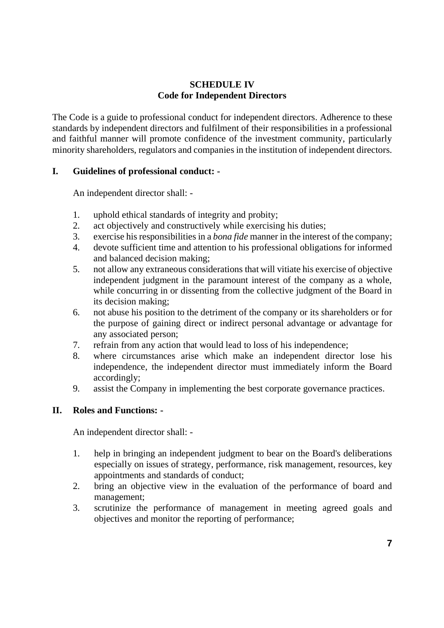## **SCHEDULE IV Code for Independent Directors**

The Code is a guide to professional conduct for independent directors. Adherence to these standards by independent directors and fulfilment of their responsibilities in a professional and faithful manner will promote confidence of the investment community, particularly minority shareholders, regulators and companies in the institution of independent directors.

## **I. Guidelines of professional conduct: -**

An independent director shall: -

- 1. uphold ethical standards of integrity and probity;
- 2. act objectively and constructively while exercising his duties;
- 3. exercise his responsibilities in a *bona fide* manner in the interest of the company;
- 4. devote sufficient time and attention to his professional obligations for informed and balanced decision making;
- 5. not allow any extraneous considerations that will vitiate his exercise of objective independent judgment in the paramount interest of the company as a whole, while concurring in or dissenting from the collective judgment of the Board in its decision making;
- 6. not abuse his position to the detriment of the company or its shareholders or for the purpose of gaining direct or indirect personal advantage or advantage for any associated person;
- 7. refrain from any action that would lead to loss of his independence;
- 8. where circumstances arise which make an independent director lose his independence, the independent director must immediately inform the Board accordingly;
- 9. assist the Company in implementing the best corporate governance practices.

# **II. Roles and Functions: -**

An independent director shall: -

- 1. help in bringing an independent judgment to bear on the Board's deliberations especially on issues of strategy, performance, risk management, resources, key appointments and standards of conduct;
- 2. bring an objective view in the evaluation of the performance of board and management;
- 3. scrutinize the performance of management in meeting agreed goals and objectives and monitor the reporting of performance;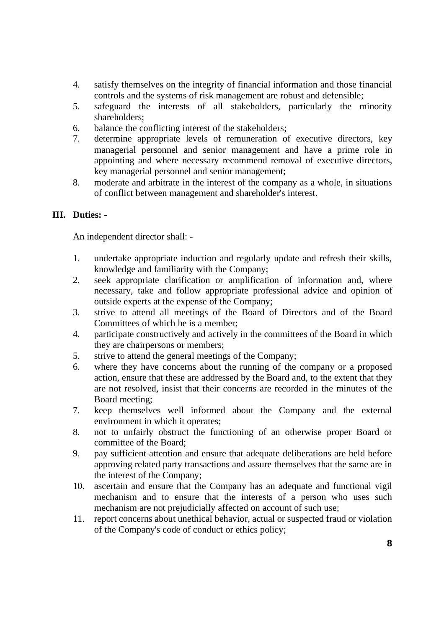- 4. satisfy themselves on the integrity of financial information and those financial controls and the systems of risk management are robust and defensible;
- 5. safeguard the interests of all stakeholders, particularly the minority shareholders;
- 6. balance the conflicting interest of the stakeholders;
- 7. determine appropriate levels of remuneration of executive directors, key managerial personnel and senior management and have a prime role in appointing and where necessary recommend removal of executive directors, key managerial personnel and senior management;
- 8. moderate and arbitrate in the interest of the company as a whole, in situations of conflict between management and shareholder's interest.

#### **III. Duties: -**

An independent director shall: -

- 1. undertake appropriate induction and regularly update and refresh their skills, knowledge and familiarity with the Company;
- 2. seek appropriate clarification or amplification of information and, where necessary, take and follow appropriate professional advice and opinion of outside experts at the expense of the Company;
- 3. strive to attend all meetings of the Board of Directors and of the Board Committees of which he is a member;
- 4. participate constructively and actively in the committees of the Board in which they are chairpersons or members;
- 5. strive to attend the general meetings of the Company;
- 6. where they have concerns about the running of the company or a proposed action, ensure that these are addressed by the Board and, to the extent that they are not resolved, insist that their concerns are recorded in the minutes of the Board meeting;
- 7. keep themselves well informed about the Company and the external environment in which it operates;
- 8. not to unfairly obstruct the functioning of an otherwise proper Board or committee of the Board;
- 9. pay sufficient attention and ensure that adequate deliberations are held before approving related party transactions and assure themselves that the same are in the interest of the Company;
- 10. ascertain and ensure that the Company has an adequate and functional vigil mechanism and to ensure that the interests of a person who uses such mechanism are not prejudicially affected on account of such use;
- 11. report concerns about unethical behavior, actual or suspected fraud or violation of the Company's code of conduct or ethics policy;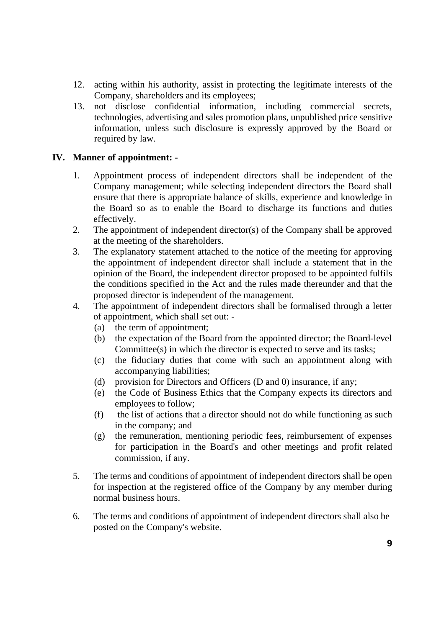- 12. acting within his authority, assist in protecting the legitimate interests of the Company, shareholders and its employees;
- 13. not disclose confidential information, including commercial secrets, technologies, advertising and sales promotion plans, unpublished price sensitive information, unless such disclosure is expressly approved by the Board or required by law.

## **IV. Manner of appointment: -**

- 1. Appointment process of independent directors shall be independent of the Company management; while selecting independent directors the Board shall ensure that there is appropriate balance of skills, experience and knowledge in the Board so as to enable the Board to discharge its functions and duties effectively.
- 2. The appointment of independent director(s) of the Company shall be approved at the meeting of the shareholders.
- 3. The explanatory statement attached to the notice of the meeting for approving the appointment of independent director shall include a statement that in the opinion of the Board, the independent director proposed to be appointed fulfils the conditions specified in the Act and the rules made thereunder and that the proposed director is independent of the management.
- 4. The appointment of independent directors shall be formalised through a letter of appointment, which shall set out: -
	- (a) the term of appointment;
	- (b) the expectation of the Board from the appointed director; the Board-level Committee(s) in which the director is expected to serve and its tasks;
	- (c) the fiduciary duties that come with such an appointment along with accompanying liabilities;
	- (d) provision for Directors and Officers (D and 0) insurance, if any;
	- (e) the Code of Business Ethics that the Company expects its directors and employees to follow;
	- (f) the list of actions that a director should not do while functioning as such in the company; and
	- (g) the remuneration, mentioning periodic fees, reimbursement of expenses for participation in the Board's and other meetings and profit related commission, if any.
- 5. The terms and conditions of appointment of independent directors shall be open for inspection at the registered office of the Company by any member during normal business hours.
- 6. The terms and conditions of appointment of independent directors shall also be posted on the Company's website.